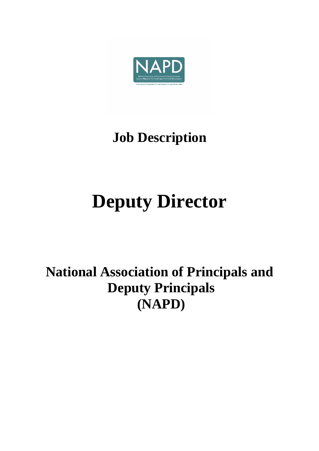

# **Job Description**

# **Deputy Director**

# **National Association of Principals and Deputy Principals (NAPD)**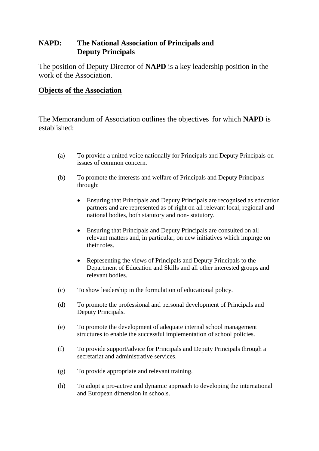# **NAPD: The National Association of Principals and Deputy Principals**

The position of Deputy Director of **NAPD** is a key leadership position in the work of the Association.

#### **Objects of the Association**

The Memorandum of Association outlines the objectives for which **NAPD** is established:

- (a) To provide a united voice nationally for Principals and Deputy Principals on issues of common concern.
- (b) To promote the interests and welfare of Principals and Deputy Principals through:
	- Ensuring that Principals and Deputy Principals are recognised as education partners and are represented as of right on all relevant local, regional and national bodies, both statutory and non- statutory.
	- Ensuring that Principals and Deputy Principals are consulted on all relevant matters and, in particular, on new initiatives which impinge on their roles.
	- Representing the views of Principals and Deputy Principals to the Department of Education and Skills and all other interested groups and relevant bodies.
- (c) To show leadership in the formulation of educational policy.
- (d) To promote the professional and personal development of Principals and Deputy Principals.
- (e) To promote the development of adequate internal school management structures to enable the successful implementation of school policies.
- (f) To provide support/advice for Principals and Deputy Principals through a secretariat and administrative services.
- (g) To provide appropriate and relevant training.
- (h) To adopt a pro-active and dynamic approach to developing the international and European dimension in schools.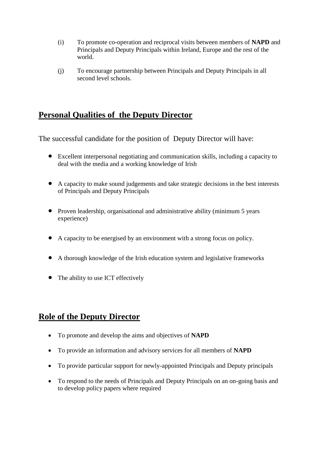- (i) To promote co-operation and reciprocal visits between members of **NAPD** and Principals and Deputy Principals within Ireland, Europe and the rest of the world.
- (j) To encourage partnership between Principals and Deputy Principals in all second level schools.

# **Personal Qualities of the Deputy Director**

The successful candidate for the position of Deputy Director will have:

- Excellent interpersonal negotiating and communication skills, including a capacity to deal with the media and a working knowledge of Irish
- A capacity to make sound judgements and take strategic decisions in the best interests of Principals and Deputy Principals
- Proven leadership, organisational and administrative ability (minimum 5 years experience)
- A capacity to be energised by an environment with a strong focus on policy.
- A thorough knowledge of the Irish education system and legislative frameworks
- The ability to use ICT effectively

# **Role of the Deputy Director**

- To promote and develop the aims and objectives of **NAPD**
- To provide an information and advisory services for all members of **NAPD**
- To provide particular support for newly-appointed Principals and Deputy principals
- To respond to the needs of Principals and Deputy Principals on an on-going basis and to develop policy papers where required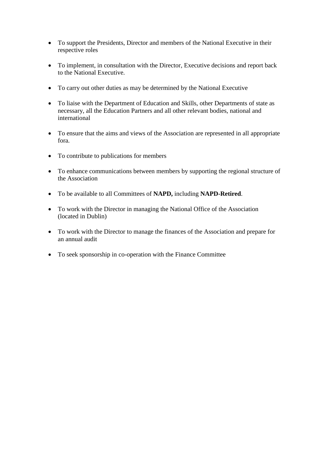- To support the Presidents, Director and members of the National Executive in their respective roles
- To implement, in consultation with the Director, Executive decisions and report back to the National Executive.
- To carry out other duties as may be determined by the National Executive
- To liaise with the Department of Education and Skills, other Departments of state as necessary, all the Education Partners and all other relevant bodies, national and international
- To ensure that the aims and views of the Association are represented in all appropriate fora.
- To contribute to publications for members
- To enhance communications between members by supporting the regional structure of the Association
- To be available to all Committees of **NAPD,** including **NAPD-Retired**.
- To work with the Director in managing the National Office of the Association (located in Dublin)
- To work with the Director to manage the finances of the Association and prepare for an annual audit
- To seek sponsorship in co-operation with the Finance Committee